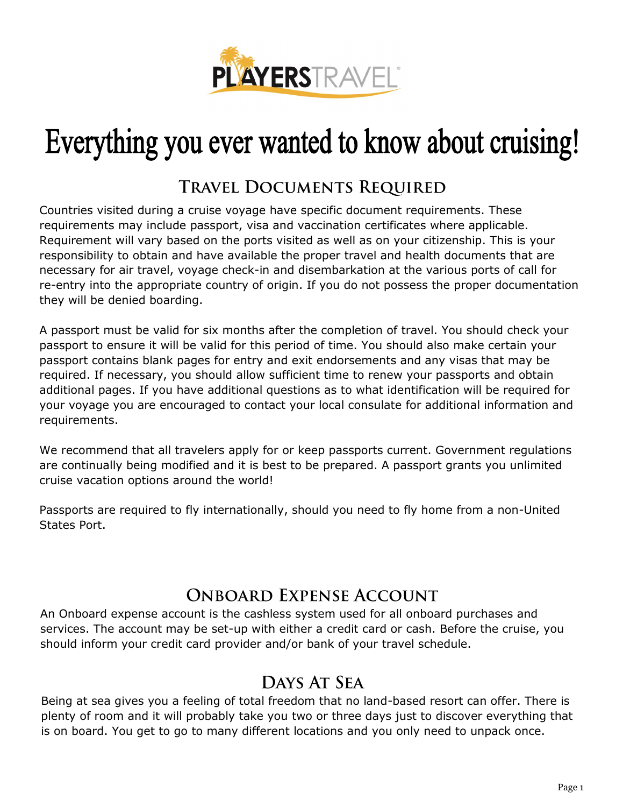

# Everything you ever wanted to know about cruising!

#### **TRAVEL DOCUMENTS REQUIRED**

Countries visited during a cruise voyage have specific document requirements. These requirements may include passport, visa and vaccination certificates where applicable. Requirement will vary based on the ports visited as well as on your citizenship. This is your responsibility to obtain and have available the proper travel and health documents that are necessary for air travel, voyage check-in and disembarkation at the various ports of call for re-entry into the appropriate country of origin. If you do not possess the proper documentation they will be denied boarding.

A passport must be valid for six months after the completion of travel. You should check your passport to ensure it will be valid for this period of time. You should also make certain your passport contains blank pages for entry and exit endorsements and any visas that may be required. If necessary, you should allow sufficient time to renew your passports and obtain additional pages. If you have additional questions as to what identification will be required for your voyage you are encouraged to contact your local consulate for additional information and requirements.

We recommend that all travelers apply for or keep passports current. Government regulations are continually being modified and it is best to be prepared. A passport grants you unlimited cruise vacation options around the world!

Passports are required to fly internationally, should you need to fly home from a non-United States Port.

#### **ONBOARD EXPENSE ACCOUNT**

An Onboard expense account is the cashless system used for all onboard purchases and services. The account may be set-up with either a credit card or cash. Before the cruise, you should inform your credit card provider and/or bank of your travel schedule.

#### **DAYS AT SEA**

Being at sea gives you a feeling of total freedom that no land-based resort can offer. There is plenty of room and it will probably take you two or three days just to discover everything that is on board. You get to go to many different locations and you only need to unpack once.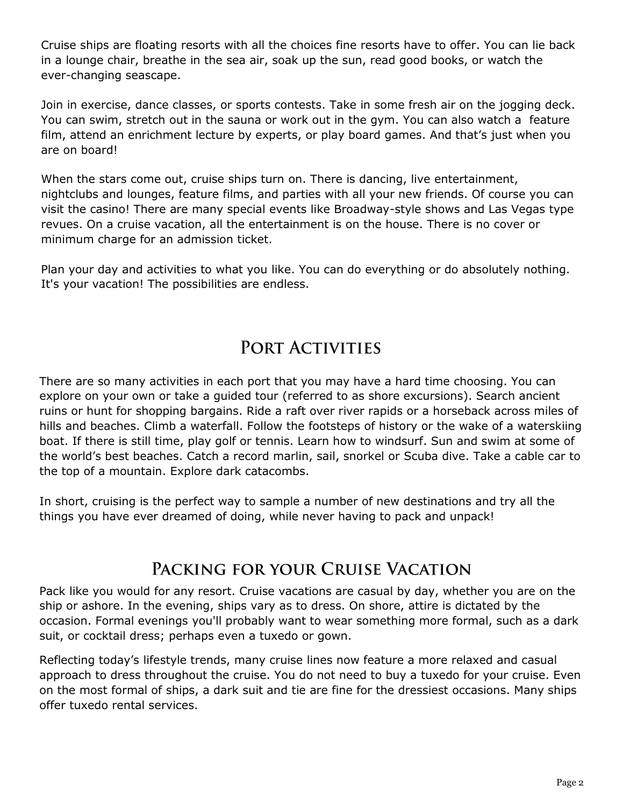Cruise ships are floating resorts with all the choices fine resorts have to offer. You can lie back in a lounge chair, breathe in the sea air, soak up the sun, read good books, or watch the ever-changing seascape.

Join in exercise, dance classes, or sports contests. Take in some fresh air on the jogging deck. You can swim, stretch out in the sauna or work out in the gym. You can also watch a feature film, attend an enrichment lecture by experts, or play board games. And that's just when you are on board!

When the stars come out, cruise ships turn on. There is dancing, live entertainment, nightclubs and lounges, feature films, and parties with all your new friends. Of course you can visit the casino! There are many special events like Broadway-style shows and Las Vegas type revues. On a cruise vacation, all the entertainment is on the house. There is no cover or minimum charge for an admission ticket.

Plan your day and activities to what you like. You can do everything or do absolutely nothing. It's your vacation! The possibilities are endless.

## PORT ACTIVITIES

There are so many activities in each port that you may have a hard time choosing. You can explore on your own or take a guided tour (referred to as shore excursions). Search ancient ruins or hunt for shopping bargains. Ride a raft over river rapids or a horseback across miles of hills and beaches. Climb a waterfall. Follow the footsteps of history or the wake of a waterskiing boat. If there is still time, play golf or tennis. Learn how to windsurf. Sun and swim at some of the world's best beaches. Catch a record marlin, sail, snorkel or Scuba dive. Take a cable car to the top of a mountain. Explore dark catacombs.

In short, cruising is the perfect way to sample a number of new destinations and try all the things you have ever dreamed of doing, while never having to pack and unpack!

## PACKING FOR YOUR CRUISE VACATION

Pack like you would for any resort. Cruise vacations are casual by day, whether you are on the ship or ashore. In the evening, ships vary as to dress. On shore, attire is dictated by the occasion. Formal evenings you'll probably want to wear something more formal, such as a dark suit, or cocktail dress; perhaps even a tuxedo or gown.

Reflecting today's lifestyle trends, many cruise lines now feature a more relaxed and casual approach to dress throughout the cruise. You do not need to buy a tuxedo for your cruise. Even on the most formal of ships, a dark suit and tie are fine for the dressiest occasions. Many ships offer tuxedo rental services.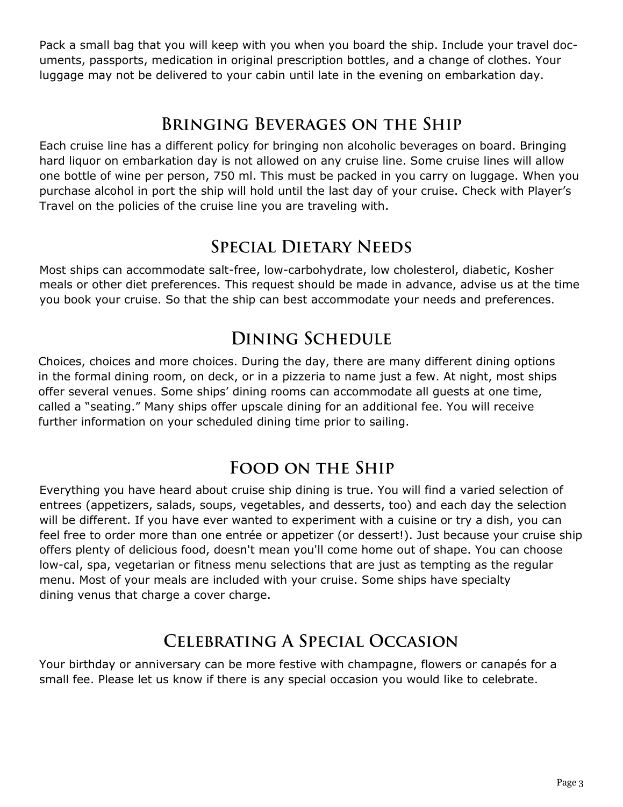Pack a small bag that you will keep with you when you board the ship. Include your travel documents, passports, medication in original prescription bottles, and a change of clothes. Your luggage may not be delivered to your cabin until late in the evening on embarkation day.

## **BRINGING BEVERAGES ON THE SHIP**

Each cruise line has a different policy for bringing non alcoholic beverages on board. Bringing hard liquor on embarkation day is not allowed on any cruise line. Some cruise lines will allow one bottle of wine per person, 750 ml. This must be packed in you carry on luggage. When you purchase alcohol in port the ship will hold until the last day of your cruise. Check with Player's Travel on the policies of the cruise line you are traveling with.

#### **SPECIAL DIETARY NEEDS**

Most ships can accommodate salt-free, low-carbohydrate, low cholesterol, diabetic, Kosher meals or other diet preferences. This request should be made in advance, advise us at the time you book your cruise. So that the ship can best accommodate your needs and preferences.

#### **DINING SCHEDULE**

Choices, choices and more choices. During the day, there are many different dining options in the formal dining room, on deck, or in a pizzeria to name just a few. At night, most ships offer several venues. Some ships' dining rooms can accommodate all guests at one time, called a "seating." Many ships offer upscale dining for an additional fee. You will receive further information on your scheduled dining time prior to sailing.

## **FOOD ON THE SHIP**

Everything you have heard about cruise ship dining is true. You will find a varied selection of entrees (appetizers, salads, soups, vegetables, and desserts, too) and each day the selection will be different. If you have ever wanted to experiment with a cuisine or try a dish, you can feel free to order more than one entrée or appetizer (or dessert!). Just because your cruise ship offers plenty of delicious food, doesn't mean you'll come home out of shape. You can choose low-cal, spa, vegetarian or fitness menu selections that are just as tempting as the regular menu. Most of your meals are included with your cruise. Some ships have specialty dining venus that charge a cover charge.

## **CELEBRATING A SPECIAL OCCASION**

Your birthday or anniversary can be more festive with champagne, flowers or canapés for a small fee. Please let us know if there is any special occasion you would like to celebrate.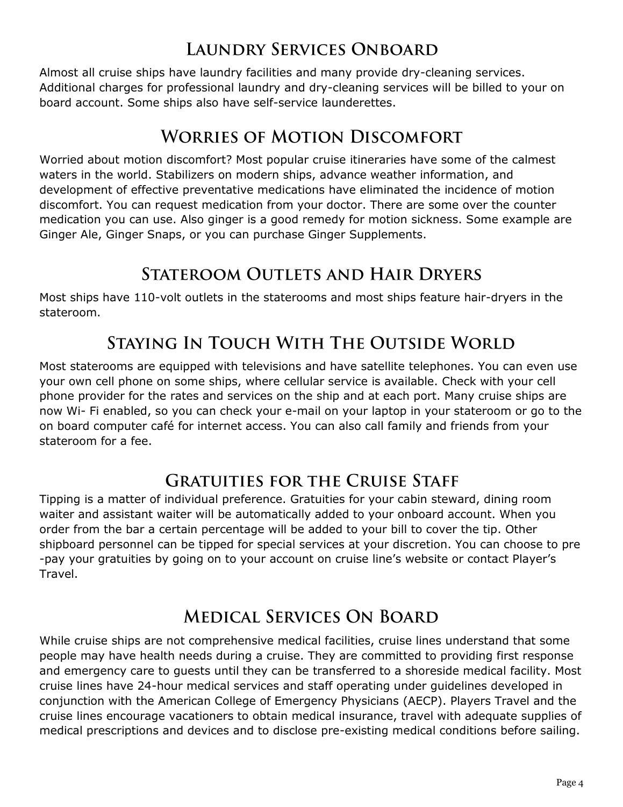#### **LAUNDRY SERVICES ONBOARD**

Almost all cruise ships have laundry facilities and many provide dry-cleaning services. Additional charges for professional laundry and dry-cleaning services will be billed to your on board account. Some ships also have self-service launderettes.

#### **WORRIES OF MOTION DISCOMFORT**

Worried about motion discomfort? Most popular cruise itineraries have some of the calmest waters in the world. Stabilizers on modern ships, advance weather information, and development of effective preventative medications have eliminated the incidence of motion discomfort. You can request medication from your doctor. There are some over the counter medication you can use. Also ginger is a good remedy for motion sickness. Some example are Ginger Ale, Ginger Snaps, or you can purchase Ginger Supplements.

## **STATEROOM OUTLETS AND HAIR DRYERS**

Most ships have 110-volt outlets in the staterooms and most ships feature hair-dryers in the stateroom.

# **STAYING IN TOUCH WITH THE OUTSIDE WORLD**

Most staterooms are equipped with televisions and have satellite telephones. You can even use your own cell phone on some ships, where cellular service is available. Check with your cell phone provider for the rates and services on the ship and at each port. Many cruise ships are now Wi- Fi enabled, so you can check your e-mail on your laptop in your stateroom or go to the on board computer café for internet access. You can also call family and friends from your stateroom for a fee.

## **GRATUITIES FOR THE CRUISE STAFF**

Tipping is a matter of individual preference. Gratuities for your cabin steward, dining room waiter and assistant waiter will be automatically added to your onboard account. When you order from the bar a certain percentage will be added to your bill to cover the tip. Other shipboard personnel can be tipped for special services at your discretion. You can choose to pre -pay your gratuities by going on to your account on cruise line's website or contact Player's Travel.

## **MEDICAL SERVICES ON BOARD**

While cruise ships are not comprehensive medical facilities, cruise lines understand that some people may have health needs during a cruise. They are committed to providing first response and emergency care to guests until they can be transferred to a shoreside medical facility. Most cruise lines have 24-hour medical services and staff operating under guidelines developed in conjunction with the American College of Emergency Physicians (AECP). Players Travel and the cruise lines encourage vacationers to obtain medical insurance, travel with adequate supplies of medical prescriptions and devices and to disclose pre-existing medical conditions before sailing.